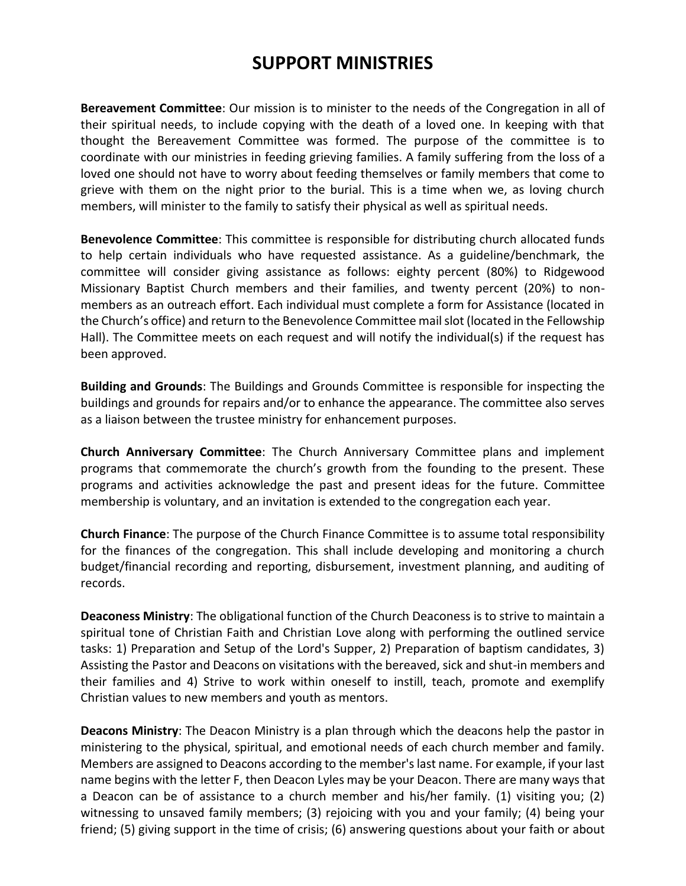## **SUPPORT MINISTRIES**

**Bereavement Committee**: Our mission is to minister to the needs of the Congregation in all of their spiritual needs, to include copying with the death of a loved one. In keeping with that thought the Bereavement Committee was formed. The purpose of the committee is to coordinate with our ministries in feeding grieving families. A family suffering from the loss of a loved one should not have to worry about feeding themselves or family members that come to grieve with them on the night prior to the burial. This is a time when we, as loving church members, will minister to the family to satisfy their physical as well as spiritual needs.

**Benevolence Committee**: This committee is responsible for distributing church allocated funds to help certain individuals who have requested assistance. As a guideline/benchmark, the committee will consider giving assistance as follows: eighty percent (80%) to Ridgewood Missionary Baptist Church members and their families, and twenty percent (20%) to nonmembers as an outreach effort. Each individual must complete a form for Assistance (located in the Church's office) and return to the Benevolence Committee mail slot (located in the Fellowship Hall). The Committee meets on each request and will notify the individual(s) if the request has been approved.

**Building and Grounds**: The Buildings and Grounds Committee is responsible for inspecting the buildings and grounds for repairs and/or to enhance the appearance. The committee also serves as a liaison between the trustee ministry for enhancement purposes.

**Church Anniversary Committee**: The Church Anniversary Committee plans and implement programs that commemorate the church's growth from the founding to the present. These programs and activities acknowledge the past and present ideas for the future. Committee membership is voluntary, and an invitation is extended to the congregation each year.

**Church Finance**: The purpose of the Church Finance Committee is to assume total responsibility for the finances of the congregation. This shall include developing and monitoring a church budget/financial recording and reporting, disbursement, investment planning, and auditing of records.

**Deaconess Ministry**: The obligational function of the Church Deaconess is to strive to maintain a spiritual tone of Christian Faith and Christian Love along with performing the outlined service tasks: 1) Preparation and Setup of the Lord's Supper, 2) Preparation of baptism candidates, 3) Assisting the Pastor and Deacons on visitations with the bereaved, sick and shut-in members and their families and 4) Strive to work within oneself to instill, teach, promote and exemplify Christian values to new members and youth as mentors.

**Deacons Ministry**: The Deacon Ministry is a plan through which the deacons help the pastor in ministering to the physical, spiritual, and emotional needs of each church member and family. Members are assigned to Deacons according to the member's last name. For example, if your last name begins with the letter F, then Deacon Lyles may be your Deacon. There are many ways that a Deacon can be of assistance to a church member and his/her family. (1) visiting you; (2) witnessing to unsaved family members; (3) rejoicing with you and your family; (4) being your friend; (5) giving support in the time of crisis; (6) answering questions about your faith or about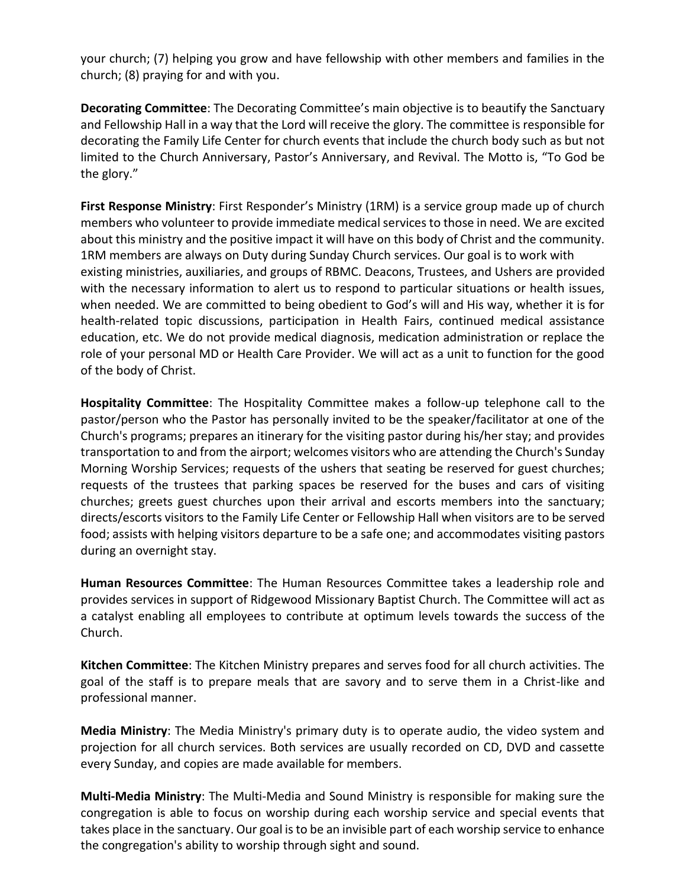your church; (7) helping you grow and have fellowship with other members and families in the church; (8) praying for and with you.

**Decorating Committee**: The Decorating Committee's main objective is to beautify the Sanctuary and Fellowship Hall in a way that the Lord will receive the glory. The committee is responsible for decorating the Family Life Center for church events that include the church body such as but not limited to the Church Anniversary, Pastor's Anniversary, and Revival. The Motto is, "To God be the glory."

**First Response Ministry**: First Responder's Ministry (1RM) is a service group made up of church members who volunteer to provide immediate medical services to those in need. We are excited about this ministry and the positive impact it will have on this body of Christ and the community. 1RM members are always on Duty during Sunday Church services. Our goal is to work with existing ministries, auxiliaries, and groups of RBMC. Deacons, Trustees, and Ushers are provided with the necessary information to alert us to respond to particular situations or health issues, when needed. We are committed to being obedient to God's will and His way, whether it is for health-related topic discussions, participation in Health Fairs, continued medical assistance education, etc. We do not provide medical diagnosis, medication administration or replace the role of your personal MD or Health Care Provider. We will act as a unit to function for the good of the body of Christ.

**Hospitality Committee**: The Hospitality Committee makes a follow-up telephone call to the pastor/person who the Pastor has personally invited to be the speaker/facilitator at one of the Church's programs; prepares an itinerary for the visiting pastor during his/her stay; and provides transportation to and from the airport; welcomes visitors who are attending the Church's Sunday Morning Worship Services; requests of the ushers that seating be reserved for guest churches; requests of the trustees that parking spaces be reserved for the buses and cars of visiting churches; greets guest churches upon their arrival and escorts members into the sanctuary; directs/escorts visitors to the Family Life Center or Fellowship Hall when visitors are to be served food; assists with helping visitors departure to be a safe one; and accommodates visiting pastors during an overnight stay.

**Human Resources Committee**: The Human Resources Committee takes a leadership role and provides services in support of Ridgewood Missionary Baptist Church. The Committee will act as a catalyst enabling all employees to contribute at optimum levels towards the success of the Church.

**Kitchen Committee**: The Kitchen Ministry prepares and serves food for all church activities. The goal of the staff is to prepare meals that are savory and to serve them in a Christ-like and professional manner.

**Media Ministry**: The Media Ministry's primary duty is to operate audio, the video system and projection for all church services. Both services are usually recorded on CD, DVD and cassette every Sunday, and copies are made available for members.

**Multi-Media Ministry**: The Multi-Media and Sound Ministry is responsible for making sure the congregation is able to focus on worship during each worship service and special events that takes place in the sanctuary. Our goal is to be an invisible part of each worship service to enhance the congregation's ability to worship through sight and sound.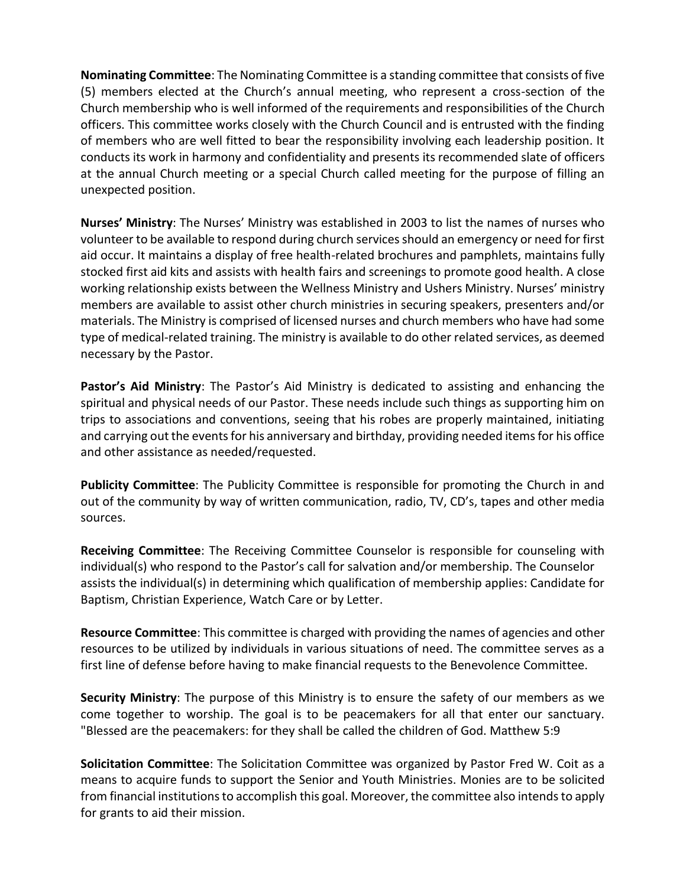**Nominating Committee**: The Nominating Committee is a standing committee that consists of five (5) members elected at the Church's annual meeting, who represent a cross-section of the Church membership who is well informed of the requirements and responsibilities of the Church officers. This committee works closely with the Church Council and is entrusted with the finding of members who are well fitted to bear the responsibility involving each leadership position. It conducts its work in harmony and confidentiality and presents its recommended slate of officers at the annual Church meeting or a special Church called meeting for the purpose of filling an unexpected position.

**Nurses' Ministry**: The Nurses' Ministry was established in 2003 to list the names of nurses who volunteer to be available to respond during church services should an emergency or need for first aid occur. It maintains a display of free health-related brochures and pamphlets, maintains fully stocked first aid kits and assists with health fairs and screenings to promote good health. A close working relationship exists between the Wellness Ministry and Ushers Ministry. Nurses' ministry members are available to assist other church ministries in securing speakers, presenters and/or materials. The Ministry is comprised of licensed nurses and church members who have had some type of medical-related training. The ministry is available to do other related services, as deemed necessary by the Pastor.

**Pastor's Aid Ministry**: The Pastor's Aid Ministry is dedicated to assisting and enhancing the spiritual and physical needs of our Pastor. These needs include such things as supporting him on trips to associations and conventions, seeing that his robes are properly maintained, initiating and carrying out the events for his anniversary and birthday, providing needed items for his office and other assistance as needed/requested.

**Publicity Committee**: The Publicity Committee is responsible for promoting the Church in and out of the community by way of written communication, radio, TV, CD's, tapes and other media sources.

**Receiving Committee**: The Receiving Committee Counselor is responsible for counseling with individual(s) who respond to the Pastor's call for salvation and/or membership. The Counselor assists the individual(s) in determining which qualification of membership applies: Candidate for Baptism, Christian Experience, Watch Care or by Letter.

**Resource Committee**: This committee is charged with providing the names of agencies and other resources to be utilized by individuals in various situations of need. The committee serves as a first line of defense before having to make financial requests to the Benevolence Committee.

**Security Ministry**: The purpose of this Ministry is to ensure the safety of our members as we come together to worship. The goal is to be peacemakers for all that enter our sanctuary. "Blessed are the peacemakers: for they shall be called the children of God. Matthew 5:9

**Solicitation Committee**: The Solicitation Committee was organized by Pastor Fred W. Coit as a means to acquire funds to support the Senior and Youth Ministries. Monies are to be solicited from financial institutions to accomplish this goal. Moreover, the committee also intends to apply for grants to aid their mission.